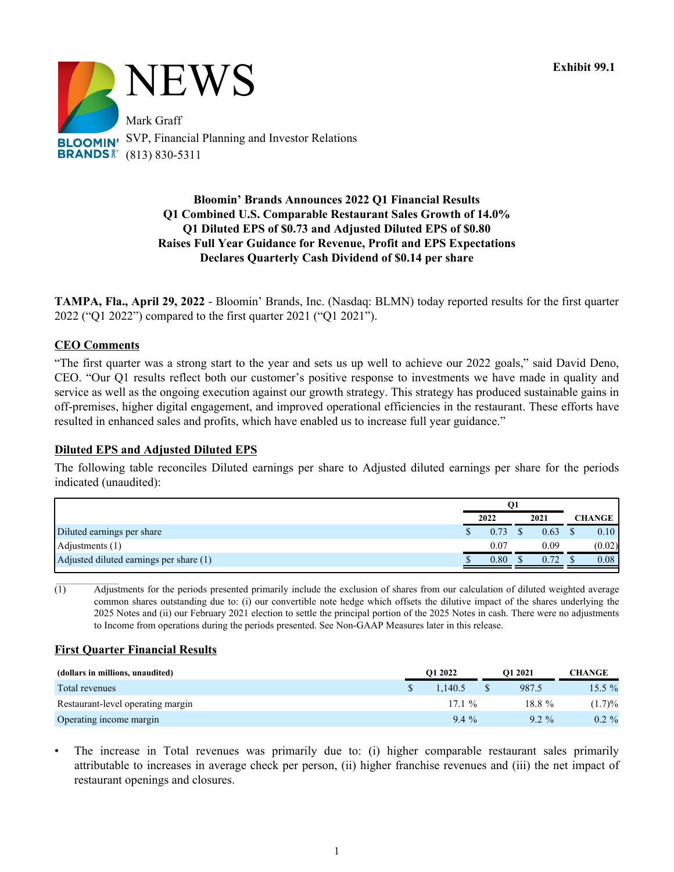

# **Bloomin' Brands Announces 2022 Q1 Financial Results Q1 Combined U.S. Comparable Restaurant Sales Growth of 14.0% Q1 Diluted EPS of \$0.73 and Adjusted Diluted EPS of \$0.80 Raises Full Year Guidance for Revenue, Profit and EPS Expectations Declares Quarterly Cash Dividend of \$0.14 per share**

**TAMPA, Fla., April 29, 2022** - Bloomin' Brands, Inc. (Nasdaq: BLMN) today reported results for the first quarter 2022 ("Q1 2022") compared to the first quarter 2021 ("Q1 2021").

# **CEO Comments**

"The first quarter was a strong start to the year and sets us up well to achieve our 2022 goals," said David Deno, CEO. "Our Q1 results reflect both our customer's positive response to investments we have made in quality and service as well as the ongoing execution against our growth strategy. This strategy has produced sustainable gains in off-premises, higher digital engagement, and improved operational efficiencies in the restaurant. These efforts have resulted in enhanced sales and profits, which have enabled us to increase full year guidance."

### **Diluted EPS and Adjusted Diluted EPS**

The following table reconciles Diluted earnings per share to Adjusted diluted earnings per share for the periods indicated (unaudited):

|                                         | O1   |      |               |
|-----------------------------------------|------|------|---------------|
|                                         | 2022 | 2021 | <b>CHANGE</b> |
| Diluted earnings per share              | 0.73 | 0.63 | 0.10          |
| Adjustments $(1)$                       | 0.07 | 0.09 | (0.02)        |
| Adjusted diluted earnings per share (1) | 0.80 | 0.72 | 0.08          |

(1) Adjustments for the periods presented primarily include the exclusion of shares from our calculation of diluted weighted average common shares outstanding due to: (i) our convertible note hedge which offsets the dilutive impact of the shares underlying the 2025 Notes and (ii) our February 2021 election to settle the principal portion of the 2025 Notes in cash. There were no adjustments to Income from operations during the periods presented. See Non-GAAP Measures later in this release.

### **First Quarter Financial Results**

| (dollars in millions, unaudited)  | O1 2022<br>O1 2021 |           |  |           |          |  |  |  | <b>CHANGE</b> |
|-----------------------------------|--------------------|-----------|--|-----------|----------|--|--|--|---------------|
| Total revenues                    |                    | 1.140.5   |  | 987.5     | $15.5\%$ |  |  |  |               |
| Restaurant-level operating margin |                    | 17.1 $\%$ |  | $18.8 \%$ | (1.7)%   |  |  |  |               |
| Operating income margin           |                    | $9.4\%$   |  | $92\%$    | $0.2 \%$ |  |  |  |               |

The increase in Total revenues was primarily due to: (i) higher comparable restaurant sales primarily attributable to increases in average check per person, (ii) higher franchise revenues and (iii) the net impact of restaurant openings and closures.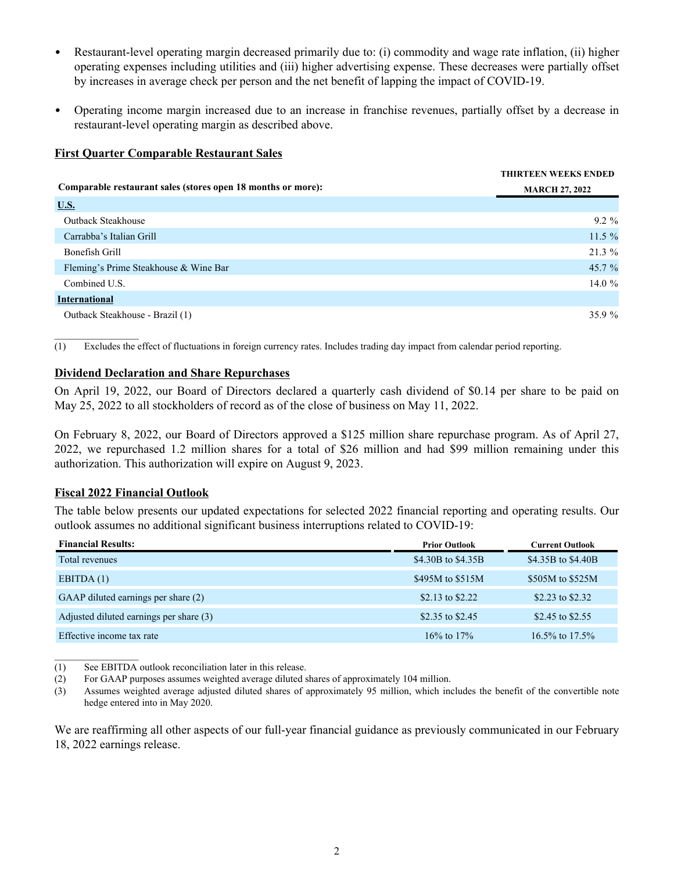- *•* Restaurant-level operating margin decreased primarily due to: (i) commodity and wage rate inflation, (ii) higher operating expenses including utilities and (iii) higher advertising expense. These decreases were partially offset by increases in average check per person and the net benefit of lapping the impact of COVID-19.
- *•* Operating income margin increased due to an increase in franchise revenues, partially offset by a decrease in restaurant-level operating margin as described above.

# **First Quarter Comparable Restaurant Sales**

|                                                              | <b>THIRTEEN WEEKS ENDED</b> |
|--------------------------------------------------------------|-----------------------------|
| Comparable restaurant sales (stores open 18 months or more): | <b>MARCH 27, 2022</b>       |
| U.S.                                                         |                             |
| <b>Outback Steakhouse</b>                                    | $9.2\%$                     |
| Carrabba's Italian Grill                                     | $11.5 \%$                   |
| Bonefish Grill                                               | $21.3\%$                    |
| Fleming's Prime Steakhouse & Wine Bar                        | 45.7 %                      |
| Combined U.S.                                                | 14.0 $%$                    |
| <b>International</b>                                         |                             |
| Outback Steakhouse - Brazil (1)                              | $35.9 \%$                   |

(1) Excludes the effect of fluctuations in foreign currency rates. Includes trading day impact from calendar period reporting.

# **Dividend Declaration and Share Repurchases**

On April 19, 2022, our Board of Directors declared a quarterly cash dividend of \$0.14 per share to be paid on May 25, 2022 to all stockholders of record as of the close of business on May 11, 2022.

On February 8, 2022, our Board of Directors approved a \$125 million share repurchase program. As of April 27, 2022, we repurchased 1.2 million shares for a total of \$26 million and had \$99 million remaining under this authorization. This authorization will expire on August 9, 2023.

### **Fiscal 2022 Financial Outlook**

The table below presents our updated expectations for selected 2022 financial reporting and operating results. Our outlook assumes no additional significant business interruptions related to COVID-19:

| <b>Financial Results:</b>               | <b>Prior Outlook</b> | <b>Current Outlook</b> |
|-----------------------------------------|----------------------|------------------------|
| Total revenues                          | \$4.30B to \$4.35B   | \$4.35B to \$4.40B     |
| EBITDA(1)                               | \$495M to \$515M     | \$505M to \$525M       |
| GAAP diluted earnings per share (2)     | \$2.13 to \$2.22     | \$2.23 to \$2.32       |
| Adjusted diluted earnings per share (3) | \$2.35 to \$2.45     | \$2.45 to \$2.55       |
| Effective income tax rate               | $16\%$ to $17\%$     | 16.5% to 17.5%         |

 $\mathcal{L}_\text{max}$ (1) See EBITDA outlook reconciliation later in this release.

(2) For GAAP purposes assumes weighted average diluted shares of approximately 104 million.

(3) Assumes weighted average adjusted diluted shares of approximately 95 million, which includes the benefit of the convertible note hedge entered into in May 2020.

We are reaffirming all other aspects of our full-year financial guidance as previously communicated in our February 18, 2022 earnings release.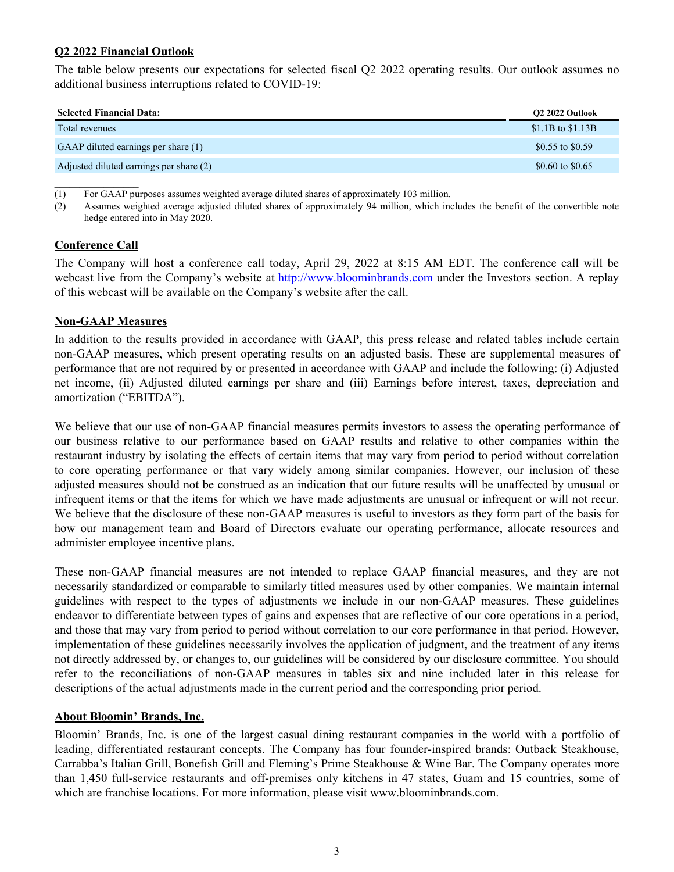# **Q2 2022 Financial Outlook**

The table below presents our expectations for selected fiscal Q2 2022 operating results. Our outlook assumes no additional business interruptions related to COVID-19:

| <b>Selected Financial Data:</b>         | O2 2022 Outlook     |
|-----------------------------------------|---------------------|
| Total revenues                          | $$1.1B$ to $$1.13B$ |
| GAAP diluted earnings per share (1)     | \$0.55 to \$0.59    |
| Adjusted diluted earnings per share (2) | \$0.60 to \$0.65    |

(1) For GAAP purposes assumes weighted average diluted shares of approximately 103 million.

(2) Assumes weighted average adjusted diluted shares of approximately 94 million, which includes the benefit of the convertible note hedge entered into in May 2020.

### **Conference Call**

The Company will host a conference call today, April 29, 2022 at 8:15 AM EDT. The conference call will be webcast live from the Company's website at http://www.bloominbrands.com under the Investors section. A replay of this webcast will be available on the Company's website after the call.

### **Non-GAAP Measures**

In addition to the results provided in accordance with GAAP, this press release and related tables include certain non-GAAP measures, which present operating results on an adjusted basis. These are supplemental measures of performance that are not required by or presented in accordance with GAAP and include the following: (i) Adjusted net income, (ii) Adjusted diluted earnings per share and (iii) Earnings before interest, taxes, depreciation and amortization ("EBITDA").

We believe that our use of non-GAAP financial measures permits investors to assess the operating performance of our business relative to our performance based on GAAP results and relative to other companies within the restaurant industry by isolating the effects of certain items that may vary from period to period without correlation to core operating performance or that vary widely among similar companies. However, our inclusion of these adjusted measures should not be construed as an indication that our future results will be unaffected by unusual or infrequent items or that the items for which we have made adjustments are unusual or infrequent or will not recur. We believe that the disclosure of these non-GAAP measures is useful to investors as they form part of the basis for how our management team and Board of Directors evaluate our operating performance, allocate resources and administer employee incentive plans.

These non-GAAP financial measures are not intended to replace GAAP financial measures, and they are not necessarily standardized or comparable to similarly titled measures used by other companies. We maintain internal guidelines with respect to the types of adjustments we include in our non-GAAP measures. These guidelines endeavor to differentiate between types of gains and expenses that are reflective of our core operations in a period, and those that may vary from period to period without correlation to our core performance in that period. However, implementation of these guidelines necessarily involves the application of judgment, and the treatment of any items not directly addressed by, or changes to, our guidelines will be considered by our disclosure committee. You should refer to the reconciliations of non-GAAP measures in tables six and nine included later in this release for descriptions of the actual adjustments made in the current period and the corresponding prior period.

#### **About Bloomin' Brands, Inc.**

Bloomin' Brands, Inc. is one of the largest casual dining restaurant companies in the world with a portfolio of leading, differentiated restaurant concepts. The Company has four founder-inspired brands: Outback Steakhouse, Carrabba's Italian Grill, Bonefish Grill and Fleming's Prime Steakhouse & Wine Bar. The Company operates more than 1,450 full-service restaurants and off-premises only kitchens in 47 states, Guam and 15 countries, some of which are franchise locations. For more information, please visit www.bloominbrands.com.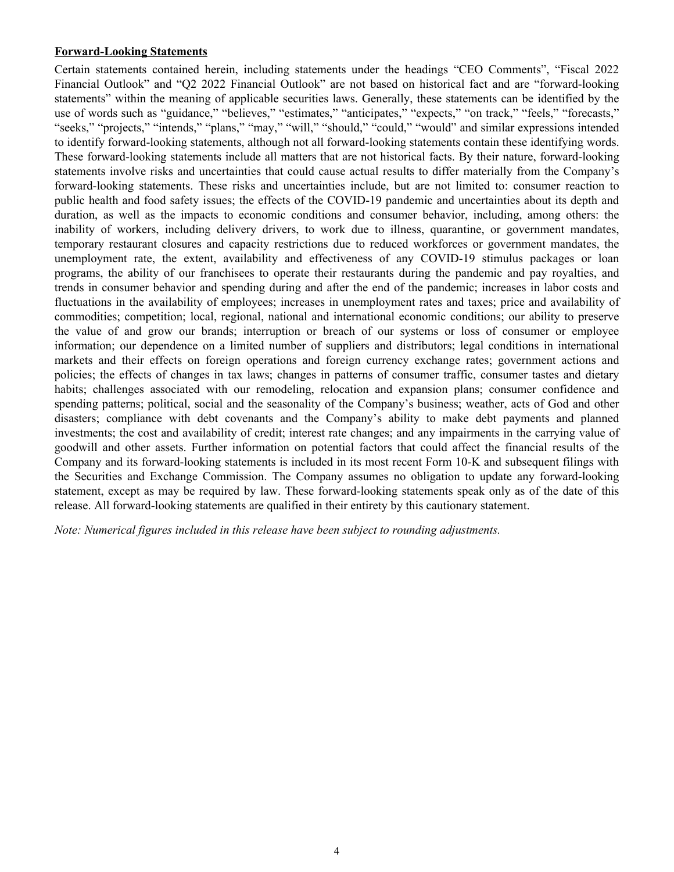## **Forward-Looking Statements**

Certain statements contained herein, including statements under the headings "CEO Comments", "Fiscal 2022 Financial Outlook" and "Q2 2022 Financial Outlook" are not based on historical fact and are "forward-looking statements" within the meaning of applicable securities laws. Generally, these statements can be identified by the use of words such as "guidance," "believes," "estimates," "anticipates," "expects," "on track," "feels," "forecasts," "seeks," "projects," "intends," "plans," "may," "will," "should," "could," "would" and similar expressions intended to identify forward-looking statements, although not all forward-looking statements contain these identifying words. These forward-looking statements include all matters that are not historical facts. By their nature, forward-looking statements involve risks and uncertainties that could cause actual results to differ materially from the Company's forward-looking statements. These risks and uncertainties include, but are not limited to: consumer reaction to public health and food safety issues; the effects of the COVID-19 pandemic and uncertainties about its depth and duration, as well as the impacts to economic conditions and consumer behavior, including, among others: the inability of workers, including delivery drivers, to work due to illness, quarantine, or government mandates, temporary restaurant closures and capacity restrictions due to reduced workforces or government mandates, the unemployment rate, the extent, availability and effectiveness of any COVID-19 stimulus packages or loan programs, the ability of our franchisees to operate their restaurants during the pandemic and pay royalties, and trends in consumer behavior and spending during and after the end of the pandemic; increases in labor costs and fluctuations in the availability of employees; increases in unemployment rates and taxes; price and availability of commodities; competition; local, regional, national and international economic conditions; our ability to preserve the value of and grow our brands; interruption or breach of our systems or loss of consumer or employee information; our dependence on a limited number of suppliers and distributors; legal conditions in international markets and their effects on foreign operations and foreign currency exchange rates; government actions and policies; the effects of changes in tax laws; changes in patterns of consumer traffic, consumer tastes and dietary habits; challenges associated with our remodeling, relocation and expansion plans; consumer confidence and spending patterns; political, social and the seasonality of the Company's business; weather, acts of God and other disasters; compliance with debt covenants and the Company's ability to make debt payments and planned investments; the cost and availability of credit; interest rate changes; and any impairments in the carrying value of goodwill and other assets. Further information on potential factors that could affect the financial results of the Company and its forward-looking statements is included in its most recent Form 10-K and subsequent filings with the Securities and Exchange Commission. The Company assumes no obligation to update any forward-looking statement, except as may be required by law. These forward-looking statements speak only as of the date of this release. All forward-looking statements are qualified in their entirety by this cautionary statement.

*Note: Numerical figures included in this release have been subject to rounding adjustments.*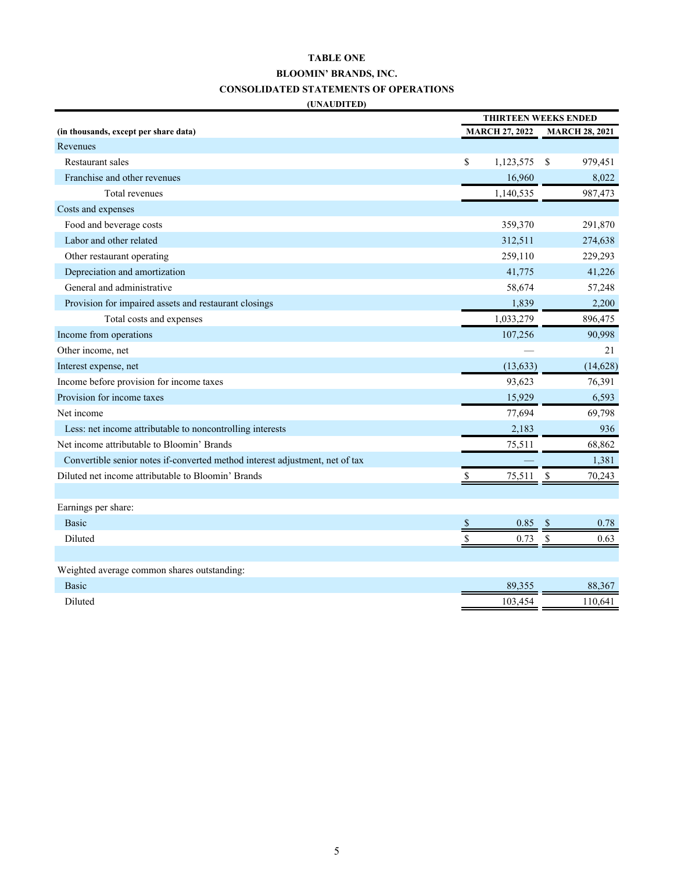# **TABLE ONE BLOOMIN' BRANDS, INC. CONSOLIDATED STATEMENTS OF OPERATIONS (UNAUDITED)**

|                                                                              | <b>THIRTEEN WEEKS ENDED</b> |                       |    |                       |
|------------------------------------------------------------------------------|-----------------------------|-----------------------|----|-----------------------|
| (in thousands, except per share data)                                        |                             | <b>MARCH 27, 2022</b> |    | <b>MARCH 28, 2021</b> |
| Revenues                                                                     |                             |                       |    |                       |
| <b>Restaurant sales</b>                                                      | \$                          | 1,123,575             | \$ | 979,451               |
| Franchise and other revenues                                                 |                             | 16,960                |    | 8,022                 |
| Total revenues                                                               |                             | 1,140,535             |    | 987,473               |
| Costs and expenses                                                           |                             |                       |    |                       |
| Food and beverage costs                                                      |                             | 359,370               |    | 291,870               |
| Labor and other related                                                      |                             | 312,511               |    | 274,638               |
| Other restaurant operating                                                   |                             | 259,110               |    | 229,293               |
| Depreciation and amortization                                                |                             | 41,775                |    | 41,226                |
| General and administrative                                                   |                             | 58,674                |    | 57,248                |
| Provision for impaired assets and restaurant closings                        |                             | 1,839                 |    | 2,200                 |
| Total costs and expenses                                                     |                             | 1,033,279             |    | 896,475               |
| Income from operations                                                       |                             | 107,256               |    | 90,998                |
| Other income, net                                                            |                             |                       |    | 21                    |
| Interest expense, net                                                        |                             | (13, 633)             |    | (14, 628)             |
| Income before provision for income taxes                                     |                             | 93,623                |    | 76,391                |
| Provision for income taxes                                                   |                             | 15,929                |    | 6,593                 |
| Net income                                                                   |                             | 77,694                |    | 69,798                |
| Less: net income attributable to noncontrolling interests                    |                             | 2,183                 |    | 936                   |
| Net income attributable to Bloomin' Brands                                   |                             | 75,511                |    | 68,862                |
| Convertible senior notes if-converted method interest adjustment, net of tax |                             |                       |    | 1,381                 |
| Diluted net income attributable to Bloomin' Brands                           |                             | 75,511                | \$ | 70,243                |
|                                                                              |                             |                       |    |                       |
| Earnings per share:                                                          |                             |                       |    |                       |
| <b>Basic</b>                                                                 |                             | 0.85                  |    | 0.78                  |
| Diluted                                                                      | \$                          | 0.73                  | \$ | 0.63                  |
|                                                                              |                             |                       |    |                       |
| Weighted average common shares outstanding:                                  |                             |                       |    |                       |
| <b>Basic</b>                                                                 |                             | 89,355                |    | 88,367                |
| Diluted                                                                      |                             | 103,454               |    | 110,641               |
|                                                                              |                             |                       |    |                       |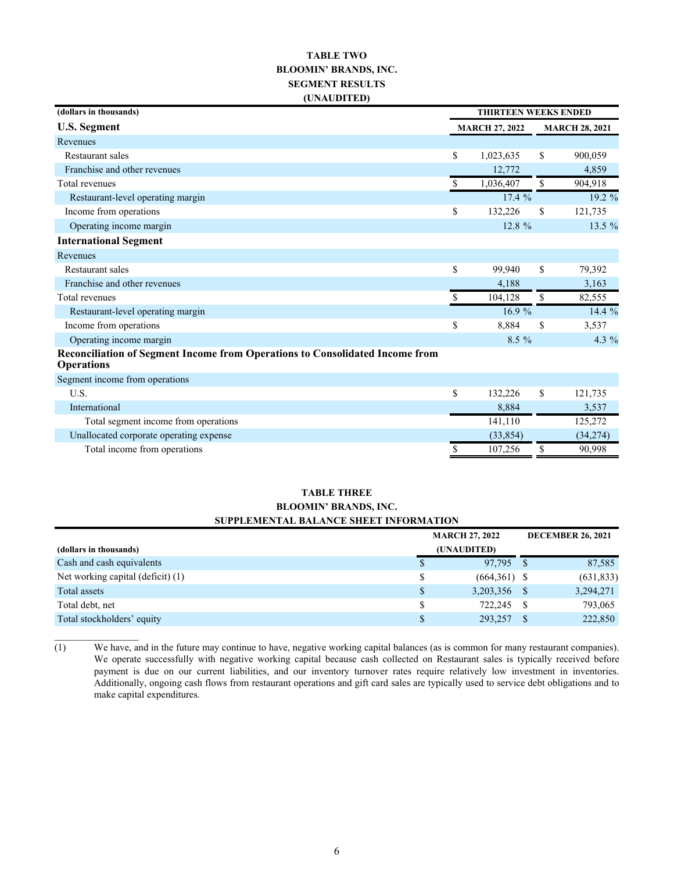### **TABLE TWO BLOOMIN' BRANDS, INC. SEGMENT RESULTS (UNAUDITED)**

| (dollars in thousands)                                                                            | <b>THIRTEEN WEEKS ENDED</b> |                       |    |                       |
|---------------------------------------------------------------------------------------------------|-----------------------------|-----------------------|----|-----------------------|
| <b>U.S. Segment</b>                                                                               |                             | <b>MARCH 27, 2022</b> |    | <b>MARCH 28, 2021</b> |
| Revenues                                                                                          |                             |                       |    |                       |
| <b>Restaurant sales</b>                                                                           | \$                          | 1,023,635             | \$ | 900,059               |
| Franchise and other revenues                                                                      |                             | 12,772                |    | 4,859                 |
| Total revenues                                                                                    | \$                          | 1,036,407             | \$ | 904,918               |
| Restaurant-level operating margin                                                                 |                             | 17.4%                 |    | 19.2 %                |
| Income from operations                                                                            | \$                          | 132,226               | \$ | 121,735               |
| Operating income margin                                                                           |                             | $12.8 \%$             |    | 13.5 %                |
| <b>International Segment</b>                                                                      |                             |                       |    |                       |
| Revenues                                                                                          |                             |                       |    |                       |
| Restaurant sales                                                                                  | \$                          | 99,940                | \$ | 79,392                |
| Franchise and other revenues                                                                      |                             | 4,188                 |    | 3,163                 |
| Total revenues                                                                                    | \$.                         | 104,128               | \$ | 82,555                |
| Restaurant-level operating margin                                                                 |                             | 16.9%                 |    | 14.4 %                |
| Income from operations                                                                            | \$                          | 8,884                 | \$ | 3,537                 |
| Operating income margin                                                                           |                             | $8.5\%$               |    | 4.3 $%$               |
| Reconciliation of Segment Income from Operations to Consolidated Income from<br><b>Operations</b> |                             |                       |    |                       |
| Segment income from operations                                                                    |                             |                       |    |                       |
| U.S.                                                                                              | \$                          | 132,226               | \$ | 121,735               |
| International                                                                                     |                             | 8,884                 |    | 3,537                 |
| Total segment income from operations                                                              |                             | 141,110               |    | 125,272               |
| Unallocated corporate operating expense                                                           |                             | (33, 854)             |    | (34,274)              |
| Total income from operations                                                                      |                             | 107,256               | \$ | 90,998                |

#### **TABLE THREE BLOOMIN' BRANDS, INC. SUPPLEMENTAL BALANCE SHEET INFORMATION**

|                                   | <b>MARCH 27, 2022</b> |                |    | <b>DECEMBER 26, 2021</b> |
|-----------------------------------|-----------------------|----------------|----|--------------------------|
| (dollars in thousands)            | (UNAUDITED)           |                |    |                          |
| Cash and cash equivalents         | S                     | 97,795 \$      |    | 87,585                   |
| Net working capital (deficit) (1) |                       | $(664,361)$ \$ |    | (631, 833)               |
| Total assets                      | \$                    | 3,203,356 \$   |    | 3,294,271                |
| Total debt, net                   |                       | 722.245        | -S | 793,065                  |
| Total stockholders' equity        |                       | 293,257        |    | 222,850                  |

 $\overline{(1)}$  We have, and in the future may continue to have, negative working capital balances (as is common for many restaurant companies). We operate successfully with negative working capital because cash collected on Restaurant sales is typically received before payment is due on our current liabilities, and our inventory turnover rates require relatively low investment in inventories. Additionally, ongoing cash flows from restaurant operations and gift card sales are typically used to service debt obligations and to make capital expenditures.

 $\mathcal{L}_\text{max}$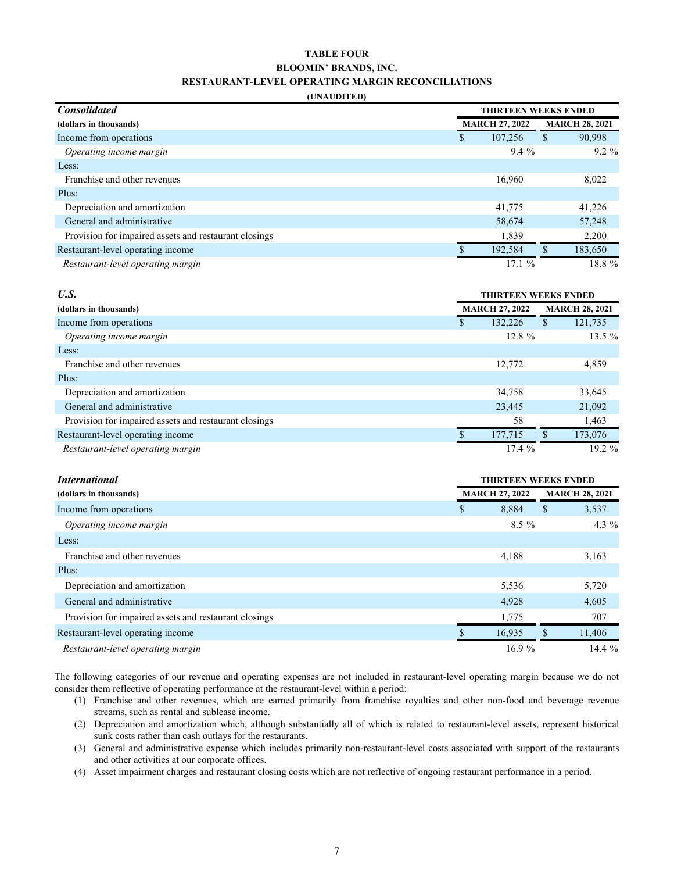#### **TABLE FOUR BLOOMIN' BRANDS, INC. RESTAURANT-LEVEL OPERATING MARGIN RECONCILIATIONS**

#### **(UNAUDITED)**

| <b>Consolidated</b>                                   | <b>THIRTEEN WEEKS ENDED</b> |                       |   |                       |
|-------------------------------------------------------|-----------------------------|-----------------------|---|-----------------------|
| (dollars in thousands)                                |                             | <b>MARCH 27, 2022</b> |   | <b>MARCH 28, 2021</b> |
| Income from operations                                | \$                          | 107,256               | S | 90,998                |
| Operating income margin                               |                             | $9.4\%$               |   | $9.2 \%$              |
| Less:                                                 |                             |                       |   |                       |
| Franchise and other revenues                          |                             | 16,960                |   | 8,022                 |
| Plus:                                                 |                             |                       |   |                       |
| Depreciation and amortization                         |                             | 41,775                |   | 41,226                |
| General and administrative                            |                             | 58,674                |   | 57,248                |
| Provision for impaired assets and restaurant closings |                             | 1,839                 |   | 2,200                 |
| Restaurant-level operating income                     |                             | 192,584               |   | 183,650               |
| Restaurant-level operating margin                     |                             | 17.1%                 |   | 18.8%                 |

| U.S.                                                  | <b>THIRTEEN WEEKS ENDED</b> |   |                       |  |
|-------------------------------------------------------|-----------------------------|---|-----------------------|--|
| (dollars in thousands)                                | <b>MARCH 27, 2022</b>       |   | <b>MARCH 28, 2021</b> |  |
| Income from operations                                | 132.226                     | S | 121,735               |  |
| Operating income margin                               | $12.8 \%$                   |   | $13.5 \%$             |  |
| Less:                                                 |                             |   |                       |  |
| Franchise and other revenues                          | 12,772                      |   | 4,859                 |  |
| Plus:                                                 |                             |   |                       |  |
| Depreciation and amortization                         | 34,758                      |   | 33,645                |  |
| General and administrative                            | 23,445                      |   | 21,092                |  |
| Provision for impaired assets and restaurant closings | 58                          |   | 1,463                 |  |
| Restaurant-level operating income                     | 177,715                     |   | 173,076               |  |
| Restaurant-level operating margin                     | 17.4%                       |   | $19.2 \%$             |  |

| <i>International</i>                                  | <b>THIRTEEN WEEKS ENDED</b> |   |                       |  |
|-------------------------------------------------------|-----------------------------|---|-----------------------|--|
| (dollars in thousands)                                | <b>MARCH 27, 2022</b>       |   | <b>MARCH 28, 2021</b> |  |
| Income from operations                                | \$<br>8,884                 |   | 3,537                 |  |
| Operating income margin                               | $8.5\%$                     |   | 4.3 $%$               |  |
| Less:                                                 |                             |   |                       |  |
| Franchise and other revenues                          | 4,188                       |   | 3,163                 |  |
| Plus:                                                 |                             |   |                       |  |
| Depreciation and amortization                         | 5,536                       |   | 5,720                 |  |
| General and administrative                            | 4,928                       |   | 4,605                 |  |
| Provision for impaired assets and restaurant closings | 1,775                       |   | 707                   |  |
| Restaurant-level operating income                     | 16,935                      | S | 11,406                |  |
| Restaurant-level operating margin                     | 16.9%                       |   | 14.4%                 |  |

The following categories of our revenue and operating expenses are not included in restaurant-level operating margin because we do not consider them reflective of operating performance at the restaurant-level within a period:

- (1) Franchise and other revenues, which are earned primarily from franchise royalties and other non-food and beverage revenue streams, such as rental and sublease income.
- (2) Depreciation and amortization which, although substantially all of which is related to restaurant-level assets, represent historical sunk costs rather than cash outlays for the restaurants.
- (3) General and administrative expense which includes primarily non-restaurant-level costs associated with support of the restaurants and other activities at our corporate offices.
- (4) Asset impairment charges and restaurant closing costs which are not reflective of ongoing restaurant performance in a period.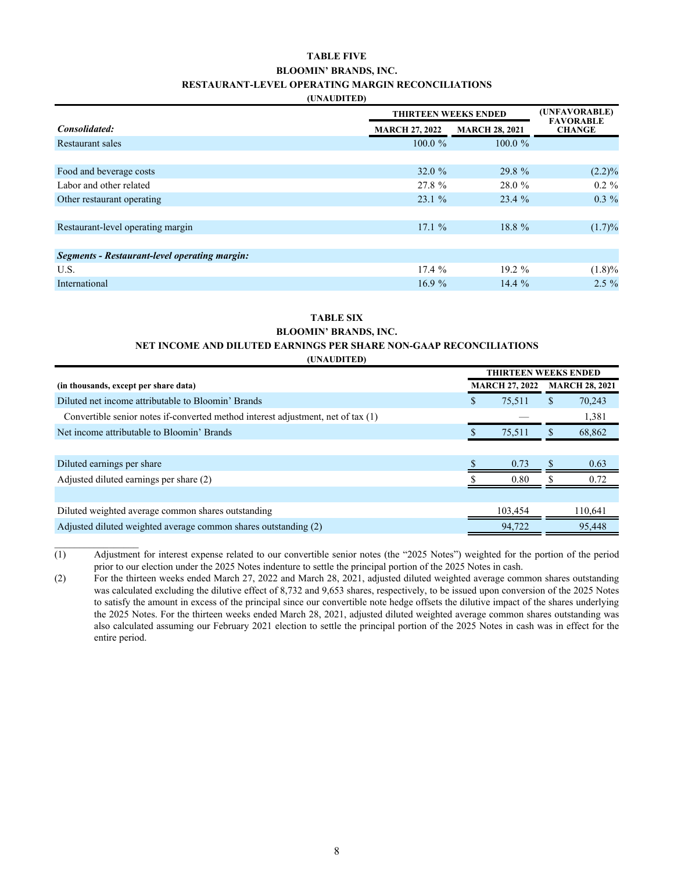#### **TABLE FIVE BLOOMIN' BRANDS, INC. RESTAURANT-LEVEL OPERATING MARGIN RECONCILIATIONS**

#### **(UNAUDITED)**

|                                               |                       | <b>THIRTEEN WEEKS ENDED</b> |                                   |  |  |  |
|-----------------------------------------------|-----------------------|-----------------------------|-----------------------------------|--|--|--|
| Consolidated:                                 | <b>MARCH 27, 2022</b> | <b>MARCH 28, 2021</b>       | <b>FAVORABLE</b><br><b>CHANGE</b> |  |  |  |
| Restaurant sales                              | $100.0 \%$            | $100.0 \%$                  |                                   |  |  |  |
|                                               |                       |                             |                                   |  |  |  |
| Food and beverage costs                       | 32.0 $%$              | 29.8%                       | $(2.2)\%$                         |  |  |  |
| Labor and other related                       | 27.8 %                | 28.0 %                      | $0.2 \%$                          |  |  |  |
| Other restaurant operating                    | 23.1%                 | 23.4 %                      | $0.3 \%$                          |  |  |  |
|                                               |                       |                             |                                   |  |  |  |
| Restaurant-level operating margin             | 17.1%                 | 18.8 %                      | $(1.7)\%$                         |  |  |  |
|                                               |                       |                             |                                   |  |  |  |
| Segments - Restaurant-level operating margin: |                       |                             |                                   |  |  |  |
| U.S.                                          | 17.4%                 | $19.2 \%$                   | $(1.8)\%$                         |  |  |  |
| International                                 | 16.9%                 | $14.4\%$                    | $2.5\%$                           |  |  |  |

#### **TABLE SIX BLOOMIN' BRANDS, INC.**

# **NET INCOME AND DILUTED EARNINGS PER SHARE NON-GAAP RECONCILIATIONS**

**(UNAUDITED)**

|                                                                                  | <b>THIRTEEN WEEKS ENDED</b>                    |         |   |         |
|----------------------------------------------------------------------------------|------------------------------------------------|---------|---|---------|
| (in thousands, except per share data)                                            | <b>MARCH 27, 2022</b><br><b>MARCH 28, 2021</b> |         |   |         |
| Diluted net income attributable to Bloomin' Brands                               | S                                              | 75.511  | S | 70,243  |
| Convertible senior notes if-converted method interest adjustment, net of tax (1) |                                                |         |   | 1,381   |
| Net income attributable to Bloomin' Brands                                       |                                                | 75,511  |   | 68,862  |
|                                                                                  |                                                |         |   |         |
| Diluted earnings per share                                                       |                                                | 0.73    |   | 0.63    |
| Adjusted diluted earnings per share (2)                                          |                                                | 0.80    |   | 0.72    |
|                                                                                  |                                                |         |   |         |
| Diluted weighted average common shares outstanding                               |                                                | 103.454 |   | 110,641 |
| Adjusted diluted weighted average common shares outstanding (2)                  |                                                | 94,722  |   | 95,448  |

(1) Adjustment for interest expense related to our convertible senior notes (the "2025 Notes") weighted for the portion of the period prior to our election under the 2025 Notes indenture to settle the principal portion of the 2025 Notes in cash.

 $\mathcal{L}_\text{max}$ 

<sup>(2)</sup> For the thirteen weeks ended March 27, 2022 and March 28, 2021, adjusted diluted weighted average common shares outstanding was calculated excluding the dilutive effect of 8,732 and 9,653 shares, respectively, to be issued upon conversion of the 2025 Notes to satisfy the amount in excess of the principal since our convertible note hedge offsets the dilutive impact of the shares underlying the 2025 Notes. For the thirteen weeks ended March 28, 2021, adjusted diluted weighted average common shares outstanding was also calculated assuming our February 2021 election to settle the principal portion of the 2025 Notes in cash was in effect for the entire period.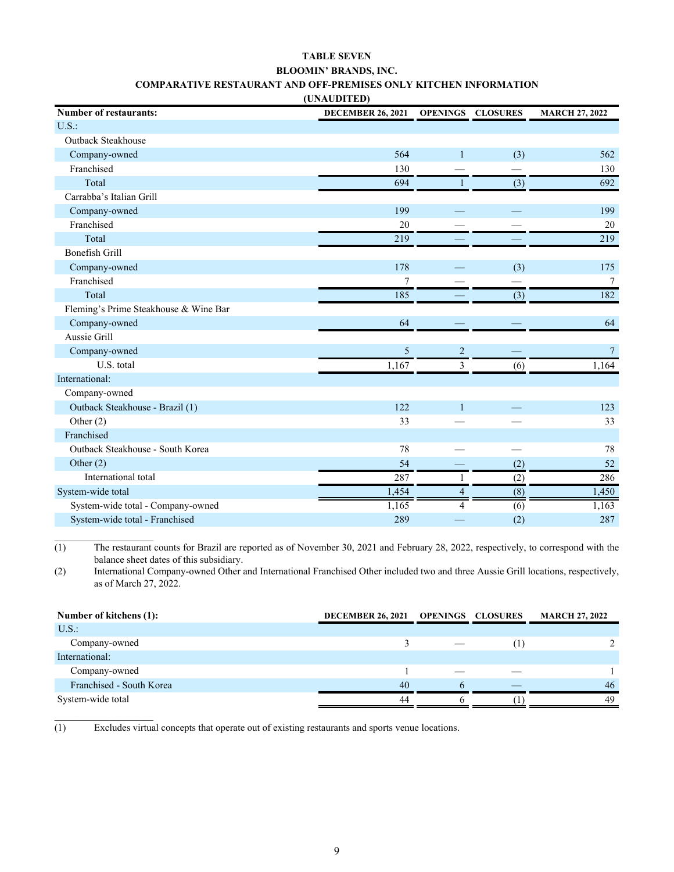#### **TABLE SEVEN BLOOMIN' BRANDS, INC. COMPARATIVE RESTAURANT AND OFF-PREMISES ONLY KITCHEN INFORMATION**

| (UNAUDITED)                           |                          |                |                          |                       |
|---------------------------------------|--------------------------|----------------|--------------------------|-----------------------|
| <b>Number of restaurants:</b>         | <b>DECEMBER 26, 2021</b> |                | <b>OPENINGS CLOSURES</b> | <b>MARCH 27, 2022</b> |
| U.S.                                  |                          |                |                          |                       |
| <b>Outback Steakhouse</b>             |                          |                |                          |                       |
| Company-owned                         | 564                      | $\mathbf{1}$   | (3)                      | 562                   |
| Franchised                            | 130                      |                |                          | 130                   |
| Total                                 | 694                      | 1              | (3)                      | 692                   |
| Carrabba's Italian Grill              |                          |                |                          |                       |
| Company-owned                         | 199                      |                |                          | 199                   |
| Franchised                            | 20                       |                |                          | 20                    |
| Total                                 | 219                      |                |                          | 219                   |
| <b>Bonefish Grill</b>                 |                          |                |                          |                       |
| Company-owned                         | 178                      |                | (3)                      | 175                   |
| Franchised                            | $\overline{7}$           |                |                          | $\overline{7}$        |
| Total                                 | 185                      |                | (3)                      | 182                   |
| Fleming's Prime Steakhouse & Wine Bar |                          |                |                          |                       |
| Company-owned                         | 64                       |                |                          | 64                    |
| Aussie Grill                          |                          |                |                          |                       |
| Company-owned                         | $\sqrt{5}$               | $\overline{2}$ |                          | $7\phantom{.0}$       |
| U.S. total                            | 1,167                    | 3              | (6)                      | 1,164                 |
| International:                        |                          |                |                          |                       |
| Company-owned                         |                          |                |                          |                       |
| Outback Steakhouse - Brazil (1)       | 122                      | $\mathbf{1}$   |                          | 123                   |
| Other $(2)$                           | 33                       |                |                          | 33                    |
| Franchised                            |                          |                |                          |                       |
| Outback Steakhouse - South Korea      | 78                       |                |                          | 78                    |
| Other $(2)$                           | 54                       |                | (2)                      | 52                    |
| International total                   | 287                      | 1              | (2)                      | 286                   |
| System-wide total                     | 1,454                    | $\overline{4}$ | (8)                      | 1,450                 |
| System-wide total - Company-owned     | 1,165                    | $\overline{4}$ | (6)                      | 1,163                 |
| System-wide total - Franchised        | 289                      |                | (2)                      | 287                   |

(1) The restaurant counts for Brazil are reported as of November 30, 2021 and February 28, 2022, respectively, to correspond with the balance sheet dates of this subsidiary.

(2) International Company-owned Other and International Franchised Other included two and three Aussie Grill locations, respectively, as of March 27, 2022.

| Number of kitchens (1):  | <b>DECEMBER 26, 2021</b> | <b>OPENINGS CLOSURES</b> | <b>MARCH 27, 2022</b> |
|--------------------------|--------------------------|--------------------------|-----------------------|
| U.S.                     |                          |                          |                       |
| Company-owned            |                          |                          |                       |
| International:           |                          |                          |                       |
| Company-owned            |                          |                          |                       |
| Franchised - South Korea | 40                       |                          | 46                    |
| System-wide total        | 44                       |                          | 49                    |

(1) Excludes virtual concepts that operate out of existing restaurants and sports venue locations.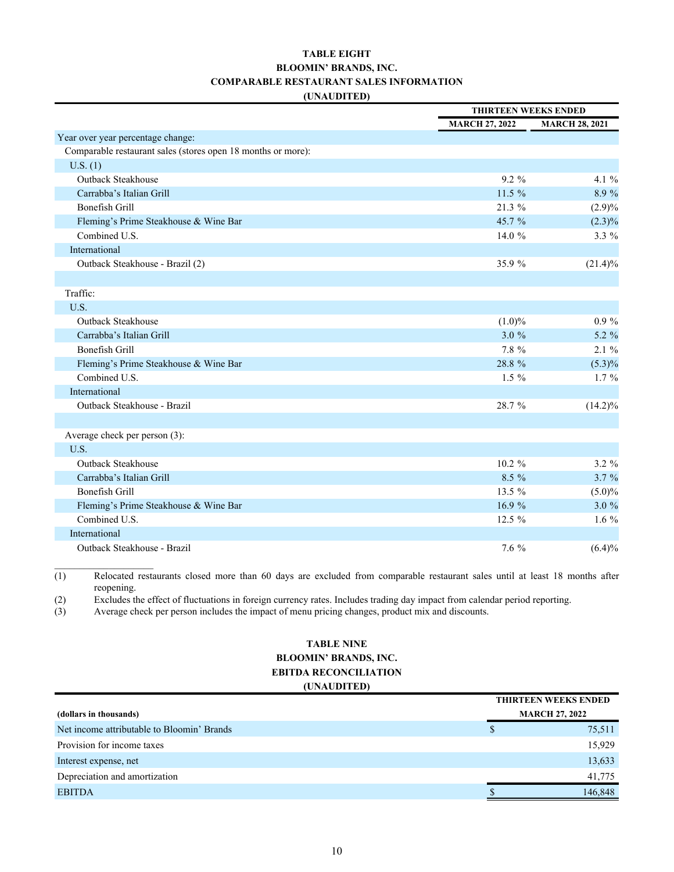#### **(UNAUDITED) TABLE EIGHT BLOOMIN' BRANDS, INC. COMPARABLE RESTAURANT SALES INFORMATION**

|                                                              |                       | <b>THIRTEEN WEEKS ENDED</b> |  |  |
|--------------------------------------------------------------|-----------------------|-----------------------------|--|--|
|                                                              | <b>MARCH 27, 2022</b> | <b>MARCH 28, 2021</b>       |  |  |
| Year over year percentage change:                            |                       |                             |  |  |
| Comparable restaurant sales (stores open 18 months or more): |                       |                             |  |  |
| U.S. (1)                                                     |                       |                             |  |  |
| <b>Outback Steakhouse</b>                                    | $9.2 \%$              | 4.1 $%$                     |  |  |
| Carrabba's Italian Grill                                     | 11.5%                 | 8.9 %                       |  |  |
| Bonefish Grill                                               | $21.3\%$              | (2.9)%                      |  |  |
| Fleming's Prime Steakhouse & Wine Bar                        | 45.7 %                | $(2.3)\%$                   |  |  |
| Combined U.S.                                                | 14.0 %                | 3.3 %                       |  |  |
| International                                                |                       |                             |  |  |
| Outback Steakhouse - Brazil (2)                              | 35.9%                 | $(21.4)\%$                  |  |  |
|                                                              |                       |                             |  |  |
| Traffic:                                                     |                       |                             |  |  |
| U.S.                                                         |                       |                             |  |  |
| <b>Outback Steakhouse</b>                                    | $(1.0)\%$             | $0.9 \%$                    |  |  |
| Carrabba's Italian Grill                                     | 3.0%                  | 5.2 %                       |  |  |
| Bonefish Grill                                               | 7.8 %                 | 2.1%                        |  |  |
| Fleming's Prime Steakhouse & Wine Bar                        | 28.8 %                | $(5.3)\%$                   |  |  |
| Combined U.S.                                                | $1.5\%$               | $1.7\%$                     |  |  |
| International                                                |                       |                             |  |  |
| Outback Steakhouse - Brazil                                  | 28.7 %                | $(14.2)\%$                  |  |  |
|                                                              |                       |                             |  |  |
| Average check per person (3):                                |                       |                             |  |  |
| U.S.                                                         |                       |                             |  |  |
| <b>Outback Steakhouse</b>                                    | $10.2 \%$             | $3.2 \%$                    |  |  |
| Carrabba's Italian Grill                                     | 8.5 %                 | 3.7%                        |  |  |
| Bonefish Grill                                               | 13.5 %                | $(5.0)\%$                   |  |  |
| Fleming's Prime Steakhouse & Wine Bar                        | 16.9%                 | 3.0%                        |  |  |
| Combined U.S.                                                | 12.5 %                | $1.6\%$                     |  |  |
| International                                                |                       |                             |  |  |
| Outback Steakhouse - Brazil                                  | 7.6 %                 | (6.4)%                      |  |  |

 $\overline{(1)}$  Relocated restaurants closed more than 60 days are excluded from comparable restaurant sales until at least 18 months after reopening.

(2) Excludes the effect of fluctuations in foreign currency rates. Includes trading day impact from calendar period reporting.

(3) Average check per person includes the impact of menu pricing changes, product mix and discounts.

#### **TABLE NINE BLOOMIN' BRANDS, INC. EBITDA RECONCILIATION (UNAUDITED)**

|                                            |   | <b>THIRTEEN WEEKS ENDED</b> |  |
|--------------------------------------------|---|-----------------------------|--|
| (dollars in thousands)                     |   | <b>MARCH 27, 2022</b>       |  |
| Net income attributable to Bloomin' Brands | S | 75,511                      |  |
| Provision for income taxes                 |   | 15,929                      |  |
| Interest expense, net                      |   | 13,633                      |  |
| Depreciation and amortization              |   | 41,775                      |  |
| <b>EBITDA</b>                              |   | 146,848                     |  |